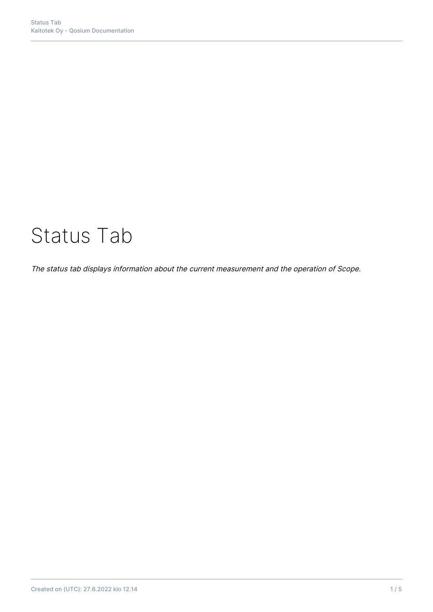# Status Tab

The status tab displays information about the current measurement and the operation of Scope.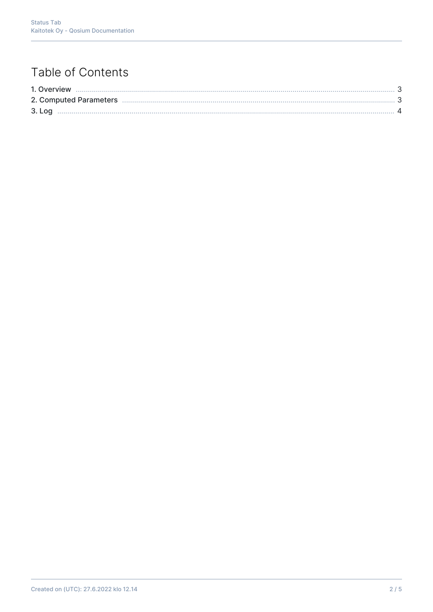## Table of Contents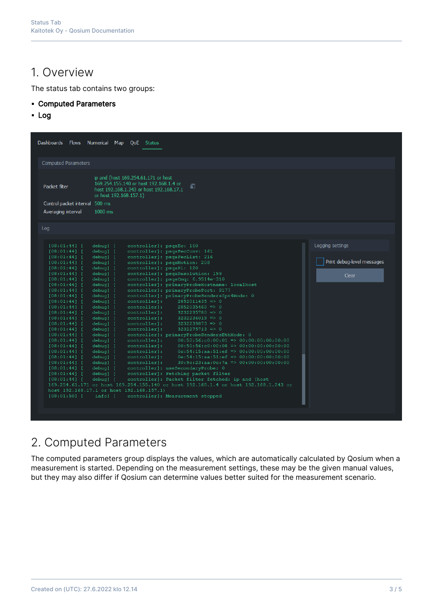#### 1. Overview

The status tab contains two groups:

- Computed Parameters
- Log

| <b>Computed Parameters</b><br>ip and (host 169.254.61.171 or host<br>169.254.155.140 or host 192.168.1.4 or<br>Packet filter<br>f)<br>host 192.168.1.243 or host 192.168.17.1<br>or host 192.168.157.1)<br>Control packet interval 500 ms<br>1000 ms<br>Averaging interval<br>Log<br>Logging settings<br>controller]: psqaEc: 160<br>$[08:01:44]$ [<br>debug] [<br>debug] [<br>controller]: psqaFecConv: 161<br>$[08:01:44]$ [<br>controller]: psgaFecList: 216<br>$[08:01:44]$ [<br>debug] [<br>Print debug-level messages<br>controller]: psqaMotion: 208<br>debug] [<br>$[08:01:44]$ [<br>controller]: psqaPi: 120<br>[08:01:44]<br>debug] [<br>controller]: psqaResolution: 199<br>$[08:01:44]$ [<br>debug] [<br>Clear<br>controller]: psgaCmg: 6.9514e-310<br>$[08:01:44]$ [<br>debug] [<br>controller]: primaryProbeHostname: localhost<br>$[08:01:44]$ [<br>debug] [<br>controller]: primaryProbePort: 8177<br>$[08:01:44]$ [<br>debug] [<br>controller]: primaryProbeSendersIpv4Mode: 0<br>$[08:01:44]$ [<br>debug] [<br>controller]:<br>$2852011435 \Rightarrow 0$<br>debug] [<br>$[08:01:44]$ [<br>controller]:<br>$2852035468$ => 0<br>$[08:01:44]$ [<br>debug] [<br>debug] [<br>controller]:<br>$3232235780 = > 0$<br>$[08:01:44]$ [<br>controller]:<br>$3232236019$ => 0<br>$[08:01:44]$ [<br>debug] [<br>controller]:<br>$3232239873$ => 0<br>debug] [<br>$[08:01:44]$ [<br>controller]:<br>$3232275713$ => 0<br>$[08:01:44]$ [<br>debug] [<br>controller]: primaryProbeSendersEthMode: 0<br>$[08:01:44]$ [<br>debug] [<br>$00:50:56:c0:00:01 \implies 00:00:00:00:00:00$<br>debug] [<br>controller]:<br>$[08:01:44]$ [<br>$00:50:56: c0:00:08 \implies 00:00:00:00:00:00$<br>controller]:<br>[08:01:44]<br>debug] [<br>controller]:<br>$0c:54:15:aa:51:ef \implies 00:00:00:00:00:00$<br>$[08:01:44]$ [<br>debug] [<br>$0e:54:15:aa:51:ef \implies 00:00:00:00:00:00$<br>controller]:<br>debug] [<br>$[08:01:44]$ [<br>$30:9c:23:aa:0c:7a \Rightarrow 00:00:00:00:00:00$<br>controller]:<br>$[08:01:44]$ [<br>debug] [<br>debug] [<br>controller]: useSecondaryProbe: 0<br>$[08:01:44]$ [<br>controller]: Fetching packet filter<br>$[08:01:44]$ [<br>debug] [<br>controller]: Packet filter fetched: ip and (host<br>$[08:01:44]$ [<br>debug] [<br>169.254.61.171 or host 169.254.155.140 or host 192.168.1.4 or host 192.168.1.243 or<br>host 192.168.17.1 or host 192.168.157.1)<br>$[08:01:50]$ [<br>info] [<br>controller]: Measurement stopped | Dashboards Flows Numerical Map | QoE Status |  |
|---------------------------------------------------------------------------------------------------------------------------------------------------------------------------------------------------------------------------------------------------------------------------------------------------------------------------------------------------------------------------------------------------------------------------------------------------------------------------------------------------------------------------------------------------------------------------------------------------------------------------------------------------------------------------------------------------------------------------------------------------------------------------------------------------------------------------------------------------------------------------------------------------------------------------------------------------------------------------------------------------------------------------------------------------------------------------------------------------------------------------------------------------------------------------------------------------------------------------------------------------------------------------------------------------------------------------------------------------------------------------------------------------------------------------------------------------------------------------------------------------------------------------------------------------------------------------------------------------------------------------------------------------------------------------------------------------------------------------------------------------------------------------------------------------------------------------------------------------------------------------------------------------------------------------------------------------------------------------------------------------------------------------------------------------------------------------------------------------------------------------------------------------------------------------------------------------------------------------------------------------------------------------------------------------------------------------------------------------------------------------------------------------------------------------------------------------------------------|--------------------------------|------------|--|
|                                                                                                                                                                                                                                                                                                                                                                                                                                                                                                                                                                                                                                                                                                                                                                                                                                                                                                                                                                                                                                                                                                                                                                                                                                                                                                                                                                                                                                                                                                                                                                                                                                                                                                                                                                                                                                                                                                                                                                                                                                                                                                                                                                                                                                                                                                                                                                                                                                                                     |                                |            |  |
|                                                                                                                                                                                                                                                                                                                                                                                                                                                                                                                                                                                                                                                                                                                                                                                                                                                                                                                                                                                                                                                                                                                                                                                                                                                                                                                                                                                                                                                                                                                                                                                                                                                                                                                                                                                                                                                                                                                                                                                                                                                                                                                                                                                                                                                                                                                                                                                                                                                                     |                                |            |  |
|                                                                                                                                                                                                                                                                                                                                                                                                                                                                                                                                                                                                                                                                                                                                                                                                                                                                                                                                                                                                                                                                                                                                                                                                                                                                                                                                                                                                                                                                                                                                                                                                                                                                                                                                                                                                                                                                                                                                                                                                                                                                                                                                                                                                                                                                                                                                                                                                                                                                     |                                |            |  |
|                                                                                                                                                                                                                                                                                                                                                                                                                                                                                                                                                                                                                                                                                                                                                                                                                                                                                                                                                                                                                                                                                                                                                                                                                                                                                                                                                                                                                                                                                                                                                                                                                                                                                                                                                                                                                                                                                                                                                                                                                                                                                                                                                                                                                                                                                                                                                                                                                                                                     |                                |            |  |
|                                                                                                                                                                                                                                                                                                                                                                                                                                                                                                                                                                                                                                                                                                                                                                                                                                                                                                                                                                                                                                                                                                                                                                                                                                                                                                                                                                                                                                                                                                                                                                                                                                                                                                                                                                                                                                                                                                                                                                                                                                                                                                                                                                                                                                                                                                                                                                                                                                                                     |                                |            |  |
|                                                                                                                                                                                                                                                                                                                                                                                                                                                                                                                                                                                                                                                                                                                                                                                                                                                                                                                                                                                                                                                                                                                                                                                                                                                                                                                                                                                                                                                                                                                                                                                                                                                                                                                                                                                                                                                                                                                                                                                                                                                                                                                                                                                                                                                                                                                                                                                                                                                                     |                                |            |  |
|                                                                                                                                                                                                                                                                                                                                                                                                                                                                                                                                                                                                                                                                                                                                                                                                                                                                                                                                                                                                                                                                                                                                                                                                                                                                                                                                                                                                                                                                                                                                                                                                                                                                                                                                                                                                                                                                                                                                                                                                                                                                                                                                                                                                                                                                                                                                                                                                                                                                     |                                |            |  |
|                                                                                                                                                                                                                                                                                                                                                                                                                                                                                                                                                                                                                                                                                                                                                                                                                                                                                                                                                                                                                                                                                                                                                                                                                                                                                                                                                                                                                                                                                                                                                                                                                                                                                                                                                                                                                                                                                                                                                                                                                                                                                                                                                                                                                                                                                                                                                                                                                                                                     |                                |            |  |
|                                                                                                                                                                                                                                                                                                                                                                                                                                                                                                                                                                                                                                                                                                                                                                                                                                                                                                                                                                                                                                                                                                                                                                                                                                                                                                                                                                                                                                                                                                                                                                                                                                                                                                                                                                                                                                                                                                                                                                                                                                                                                                                                                                                                                                                                                                                                                                                                                                                                     |                                |            |  |
|                                                                                                                                                                                                                                                                                                                                                                                                                                                                                                                                                                                                                                                                                                                                                                                                                                                                                                                                                                                                                                                                                                                                                                                                                                                                                                                                                                                                                                                                                                                                                                                                                                                                                                                                                                                                                                                                                                                                                                                                                                                                                                                                                                                                                                                                                                                                                                                                                                                                     |                                |            |  |
|                                                                                                                                                                                                                                                                                                                                                                                                                                                                                                                                                                                                                                                                                                                                                                                                                                                                                                                                                                                                                                                                                                                                                                                                                                                                                                                                                                                                                                                                                                                                                                                                                                                                                                                                                                                                                                                                                                                                                                                                                                                                                                                                                                                                                                                                                                                                                                                                                                                                     |                                |            |  |
|                                                                                                                                                                                                                                                                                                                                                                                                                                                                                                                                                                                                                                                                                                                                                                                                                                                                                                                                                                                                                                                                                                                                                                                                                                                                                                                                                                                                                                                                                                                                                                                                                                                                                                                                                                                                                                                                                                                                                                                                                                                                                                                                                                                                                                                                                                                                                                                                                                                                     |                                |            |  |
|                                                                                                                                                                                                                                                                                                                                                                                                                                                                                                                                                                                                                                                                                                                                                                                                                                                                                                                                                                                                                                                                                                                                                                                                                                                                                                                                                                                                                                                                                                                                                                                                                                                                                                                                                                                                                                                                                                                                                                                                                                                                                                                                                                                                                                                                                                                                                                                                                                                                     |                                |            |  |
|                                                                                                                                                                                                                                                                                                                                                                                                                                                                                                                                                                                                                                                                                                                                                                                                                                                                                                                                                                                                                                                                                                                                                                                                                                                                                                                                                                                                                                                                                                                                                                                                                                                                                                                                                                                                                                                                                                                                                                                                                                                                                                                                                                                                                                                                                                                                                                                                                                                                     |                                |            |  |
|                                                                                                                                                                                                                                                                                                                                                                                                                                                                                                                                                                                                                                                                                                                                                                                                                                                                                                                                                                                                                                                                                                                                                                                                                                                                                                                                                                                                                                                                                                                                                                                                                                                                                                                                                                                                                                                                                                                                                                                                                                                                                                                                                                                                                                                                                                                                                                                                                                                                     |                                |            |  |
|                                                                                                                                                                                                                                                                                                                                                                                                                                                                                                                                                                                                                                                                                                                                                                                                                                                                                                                                                                                                                                                                                                                                                                                                                                                                                                                                                                                                                                                                                                                                                                                                                                                                                                                                                                                                                                                                                                                                                                                                                                                                                                                                                                                                                                                                                                                                                                                                                                                                     |                                |            |  |
|                                                                                                                                                                                                                                                                                                                                                                                                                                                                                                                                                                                                                                                                                                                                                                                                                                                                                                                                                                                                                                                                                                                                                                                                                                                                                                                                                                                                                                                                                                                                                                                                                                                                                                                                                                                                                                                                                                                                                                                                                                                                                                                                                                                                                                                                                                                                                                                                                                                                     |                                |            |  |
|                                                                                                                                                                                                                                                                                                                                                                                                                                                                                                                                                                                                                                                                                                                                                                                                                                                                                                                                                                                                                                                                                                                                                                                                                                                                                                                                                                                                                                                                                                                                                                                                                                                                                                                                                                                                                                                                                                                                                                                                                                                                                                                                                                                                                                                                                                                                                                                                                                                                     |                                |            |  |
|                                                                                                                                                                                                                                                                                                                                                                                                                                                                                                                                                                                                                                                                                                                                                                                                                                                                                                                                                                                                                                                                                                                                                                                                                                                                                                                                                                                                                                                                                                                                                                                                                                                                                                                                                                                                                                                                                                                                                                                                                                                                                                                                                                                                                                                                                                                                                                                                                                                                     |                                |            |  |

#### 2. Computed Parameters

The computed parameters group displays the values, which are automatically calculated by Qosium when a measurement is started. Depending on the measurement settings, these may be the given manual values, but they may also differ if Qosium can determine values better suited for the measurement scenario.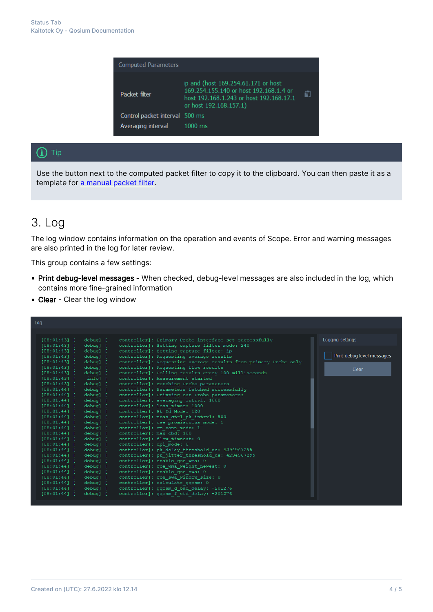| <b>Computed Parameters</b>     |                                                                                                                                                    |   |
|--------------------------------|----------------------------------------------------------------------------------------------------------------------------------------------------|---|
| Packet filter                  | ip and (host 169.254.61.171 or host<br>169.254.155.140 or host 192.168.1.4 or<br>host 192.168.1.243 or host 192.168.17.1<br>or host 192.168.157.1) | ñ |
| Control packet interval 500 ms |                                                                                                                                                    |   |
| Averaging interval             | $1000$ ms                                                                                                                                          |   |

#### $(i)$  Tip

Use the button next to the computed packet filter to copy it to the clipboard. You can then paste it as a template for [a manual packet filter](https://kaitotek.com/fi/resources/documentation/scope/measurement-control/measurement-tab#packet_capture_settings-packet_filter_mode).

### 3. Log

The log window contains information on the operation and events of Scope. Error and warning messages are also printed in the log for later review.

This group contains a few settings:

- **Print debug-level messages** When checked, debug-level messages are also included in the log, which contains more fine-grained information
- **Clear** Clear the log window

| Log                                                                                           |                            |
|-----------------------------------------------------------------------------------------------|----------------------------|
|                                                                                               |                            |
|                                                                                               |                            |
| [08:01:43]<br>debug] [<br>controller]: Primary Probe interface set successfully               | Logging settings           |
| debug] [<br>controller]: Setting capture filter mode: 240<br>[08:01:43]                       |                            |
| debug] [<br>controller]: Setting capture filter: ip<br>[08:01:43]                             |                            |
| controller]: Requesting average results<br>$[08:01:43]$ [<br>debug] [                         | Print debug-level messages |
| controller]: Requesting average results from primary Probe only<br>$[08:01:43]$ [<br>debug] [ |                            |
| controller]: Requesting flow results<br>$[08:01:43]$ [<br>debug] [                            | Clear                      |
| controller]: Polling results every 100 milliseconds<br>$[08:01:43]$ [<br>debug] [             |                            |
| controller]: Measurement started<br>$[08:01:43]$ [<br>infol [                                 |                            |
| [08:01:43]<br>debug] [<br>controller]: Fetching Probe parameters                              |                            |
| [08:01:44]<br>debug] [<br>controller]: Parameters fetched successfully                        |                            |
| $[08:01:44]$ [<br>debug] [<br>controller]: Printing out Probe parameters:                     |                            |
| controller]: averaging intrvl: 1000<br>$[08:01:44]$ [<br>debug] [                             |                            |
| controller]: loss timer: 1000<br>$[08:01:44]$ [<br>debug] [                                   |                            |
| controller]: Pk Id Mode: 120<br>$[08:01:44]$ [<br>debug] [                                    |                            |
| controller]: meas ctrl pk intrvl: 500<br>$[08:01:44]$ [<br>debug] [                           |                            |
| controller]: use promiscuous mode: 1<br>$[08:01:44]$ [<br>debug] [                            |                            |
| controller]: qm conn mode: 1<br>[08:01:44]<br>debug] [                                        |                            |
| controller]: max cbd: 180<br>[08:01:44]<br>debug] [                                           |                            |
| controller]: flow timeout: 0<br>[08:01:44]<br>debug] [                                        |                            |
| controller]: dpi mode: 0<br>$[08:01:44]$ [<br>debug] [                                        |                            |
| controller]: pk delay threshold us: 4294967295<br>[08:01:44]<br>debug] [                      |                            |
| controller]: pk jitter threshold us: 4294967295<br>[08:01:44]<br>debug] [                     |                            |
| controller]: enable goe wma: 0<br>$[08:01:44]$ [<br>debug] [                                  |                            |
| controller]: qoe wma weight newest: 0<br>[08:01:44]<br>debug] [                               |                            |
| controller]: enable goe swa: 0<br>[08:01:44]<br>debug] [                                      |                            |
| controller]: qoe swa window size: 0<br>debug] [<br>$[08:01:44]$ [                             |                            |
| controller]: calculate ggosm: 0<br>$[08:01:44]$ [<br>debug] [                                 |                            |
| controller]: ggosm d bad delay: -201276<br>[08:01:44]<br>debug] [                             |                            |
| [08:01:44]<br>controller]: ggosm f std delay: -201276<br>debug] [                             |                            |
|                                                                                               |                            |